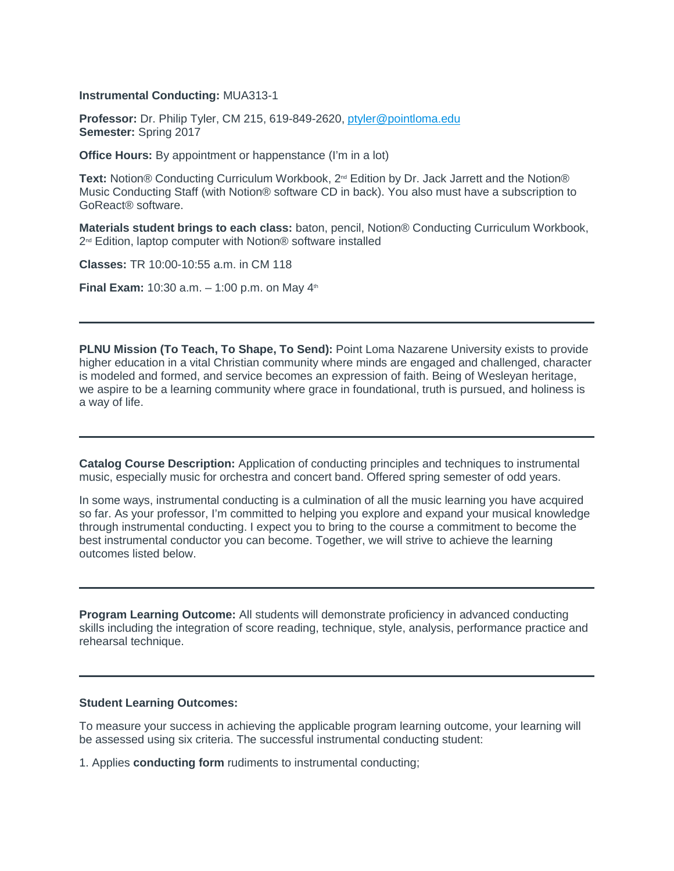### **Instrumental Conducting:** MUA313-1

**Professor:** Dr. Philip Tyler, CM 215, 619-849-2620, [ptyler@pointloma.edu](mailto:ptyler@pointloma.edu) **Semester:** Spring 2017

**Office Hours:** By appointment or happenstance (I'm in a lot)

Text: Notion<sup>®</sup> Conducting Curriculum Workbook, 2<sup>nd</sup> Edition by Dr. Jack Jarrett and the Notion<sup>®</sup> Music Conducting Staff (with Notion® software CD in back). You also must have a subscription to GoReact® software.

**Materials student brings to each class:** baton, pencil, Notion® Conducting Curriculum Workbook, 2<sup>nd</sup> Edition, laptop computer with Notion<sup>®</sup> software installed

**Classes:** TR 10:00-10:55 a.m. in CM 118

**Final Exam:** 10:30 a.m.  $-$  1:00 p.m. on May  $4^{\text{th}}$ 

**PLNU Mission (To Teach, To Shape, To Send):** Point Loma Nazarene University exists to provide higher education in a vital Christian community where minds are engaged and challenged, character is modeled and formed, and service becomes an expression of faith. Being of Wesleyan heritage, we aspire to be a learning community where grace in foundational, truth is pursued, and holiness is a way of life.

**Catalog Course Description:** Application of conducting principles and techniques to instrumental music, especially music for orchestra and concert band. Offered spring semester of odd years.

In some ways, instrumental conducting is a culmination of all the music learning you have acquired so far. As your professor, I'm committed to helping you explore and expand your musical knowledge through instrumental conducting. I expect you to bring to the course a commitment to become the best instrumental conductor you can become. Together, we will strive to achieve the learning outcomes listed below.

**Program Learning Outcome:** All students will demonstrate proficiency in advanced conducting skills including the integration of score reading, technique, style, analysis, performance practice and rehearsal technique.

#### **Student Learning Outcomes:**

To measure your success in achieving the applicable program learning outcome, your learning will be assessed using six criteria. The successful instrumental conducting student:

1. Applies **conducting form** rudiments to instrumental conducting;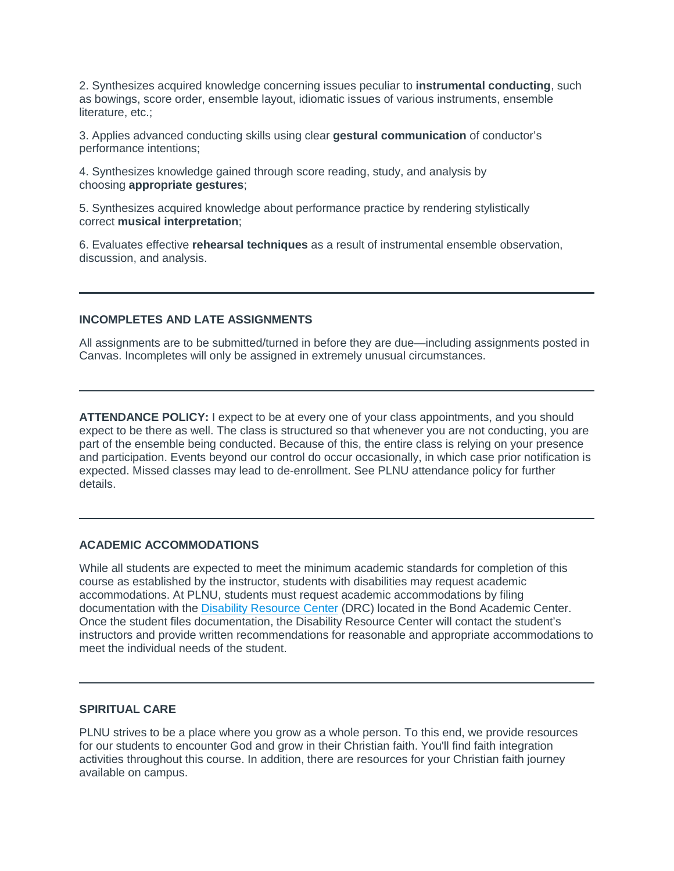2. Synthesizes acquired knowledge concerning issues peculiar to **instrumental conducting**, such as bowings, score order, ensemble layout, idiomatic issues of various instruments, ensemble literature, etc.;

3. Applies advanced conducting skills using clear **gestural communication** of conductor's performance intentions;

4. Synthesizes knowledge gained through score reading, study, and analysis by choosing **appropriate gestures**;

5. Synthesizes acquired knowledge about performance practice by rendering stylistically correct **musical interpretation**;

6. Evaluates effective **rehearsal techniques** as a result of instrumental ensemble observation, discussion, and analysis.

### **INCOMPLETES AND LATE ASSIGNMENTS**

All assignments are to be submitted/turned in before they are due—including assignments posted in Canvas. Incompletes will only be assigned in extremely unusual circumstances.

**ATTENDANCE POLICY:** I expect to be at every one of your class appointments, and you should expect to be there as well. The class is structured so that whenever you are not conducting, you are part of the ensemble being conducted. Because of this, the entire class is relying on your presence and participation. Events beyond our control do occur occasionally, in which case prior notification is expected. Missed classes may lead to de-enrollment. See PLNU attendance policy for further details.

# **ACADEMIC ACCOMMODATIONS**

While all students are expected to meet the minimum academic standards for completion of this course as established by the instructor, students with disabilities may request academic accommodations. At PLNU, students must request academic accommodations by filing documentation with the [Disability Resource Center](http://www.pointloma.edu/experience/offices/administrative-offices/academic-advising-office/disability-resource-center) (DRC) located in the Bond Academic Center. Once the student files documentation, the Disability Resource Center will contact the student's instructors and provide written recommendations for reasonable and appropriate accommodations to meet the individual needs of the student.

## **SPIRITUAL CARE**

PLNU strives to be a place where you grow as a whole person. To this end, we provide resources for our students to encounter God and grow in their Christian faith. You'll find faith integration activities throughout this course. In addition, there are resources for your Christian faith journey available on campus.